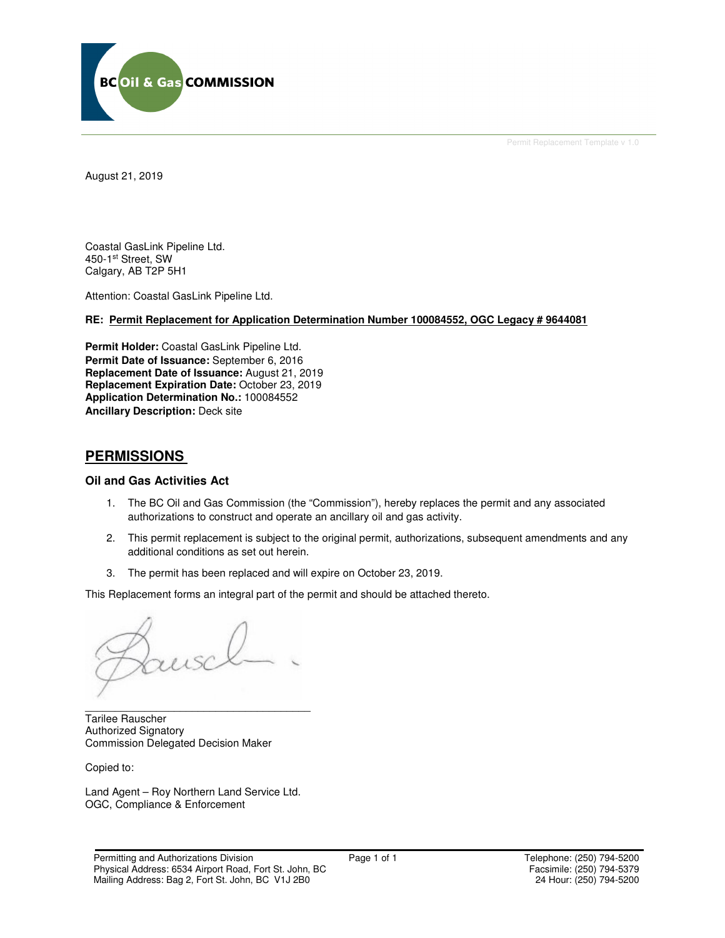

Permit Replacement Template v 1.0

August 21, 2019

Coastal GasLink Pipeline Ltd. 450-1st Street, SW Calgary, AB T2P 5H1

Attention: Coastal GasLink Pipeline Ltd.

## **RE: Permit Replacement for Application Determination Number 100084552, OGC Legacy # 9644081**

**Permit Holder:** Coastal GasLink Pipeline Ltd. **Permit Date of Issuance:** September 6, 2016 **Replacement Date of Issuance:** August 21, 2019 **Replacement Expiration Date:** October 23, 2019 **Application Determination No.:** 100084552 **Ancillary Description:** Deck site

## **PERMISSIONS**

## **Oil and Gas Activities Act**

- 1. The BC Oil and Gas Commission (the "Commission"), hereby replaces the permit and any associated authorizations to construct and operate an ancillary oil and gas activity.
- 2. This permit replacement is subject to the original permit, authorizations, subsequent amendments and any additional conditions as set out herein.
- 3. The permit has been replaced and will expire on October 23, 2019.

This Replacement forms an integral part of the permit and should be attached thereto.

 $\mu$ 

\_\_\_\_\_\_\_\_\_\_\_\_\_\_\_\_\_\_\_\_\_\_\_\_\_\_\_\_\_\_\_\_\_\_\_\_\_\_ Tarilee Rauscher Authorized Signatory Commission Delegated Decision Maker

Copied to:

Land Agent – Roy Northern Land Service Ltd. OGC, Compliance & Enforcement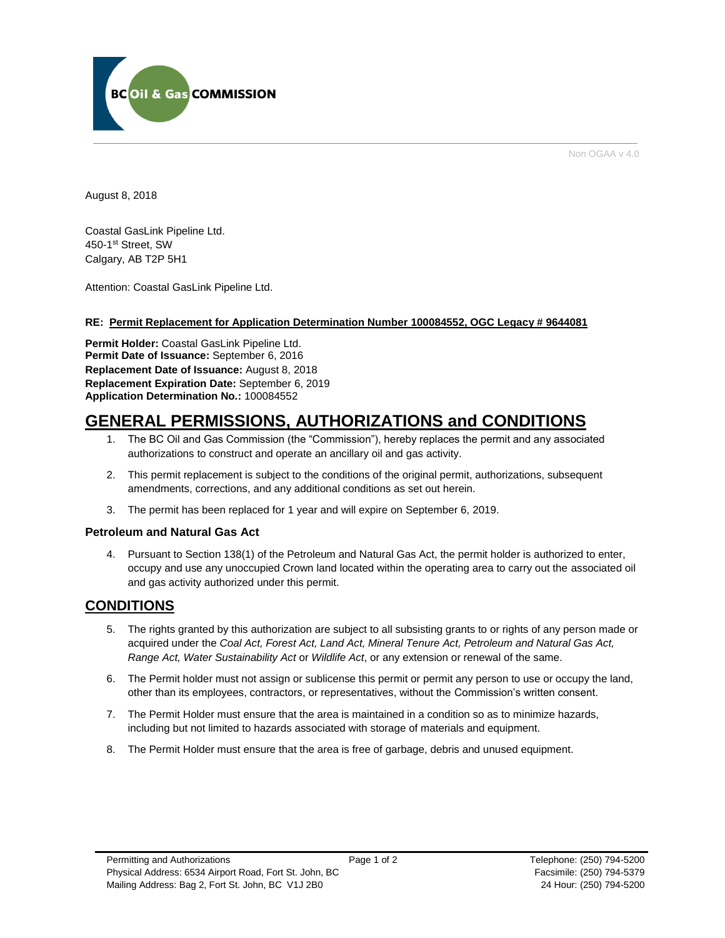

Non OGAA v 4.0

August 8, 2018

Coastal GasLink Pipeline Ltd. 450-1st Street, SW Calgary, AB T2P 5H1

Attention: Coastal GasLink Pipeline Ltd.

## **RE: Permit Replacement for Application Determination Number 100084552, OGC Legacy # 9644081**

**Permit Holder:** Coastal GasLink Pipeline Ltd. **Permit Date of Issuance:** September 6, 2016 **Replacement Date of Issuance:** August 8, 2018 **Replacement Expiration Date:** September 6, 2019 **Application Determination No.:** 100084552

# **GENERAL PERMISSIONS, AUTHORIZATIONS and CONDITIONS**

- 1. The BC Oil and Gas Commission (the "Commission"), hereby replaces the permit and any associated authorizations to construct and operate an ancillary oil and gas activity.
- 2. This permit replacement is subject to the conditions of the original permit, authorizations, subsequent amendments, corrections, and any additional conditions as set out herein.
- 3. The permit has been replaced for 1 year and will expire on September 6, 2019.

## **Petroleum and Natural Gas Act**

4. Pursuant to Section 138(1) of the Petroleum and Natural Gas Act, the permit holder is authorized to enter, occupy and use any unoccupied Crown land located within the operating area to carry out the associated oil and gas activity authorized under this permit.

## **CONDITIONS**

- 5. The rights granted by this authorization are subject to all subsisting grants to or rights of any person made or acquired under the *Coal Act, Forest Act, Land Act, Mineral Tenure Act, Petroleum and Natural Gas Act, Range Act, Water Sustainability Act* or *Wildlife Act*, or any extension or renewal of the same.
- 6. The Permit holder must not assign or sublicense this permit or permit any person to use or occupy the land, other than its employees, contractors, or representatives, without the Commission's written consent.
- 7. The Permit Holder must ensure that the area is maintained in a condition so as to minimize hazards, including but not limited to hazards associated with storage of materials and equipment.
- 8. The Permit Holder must ensure that the area is free of garbage, debris and unused equipment.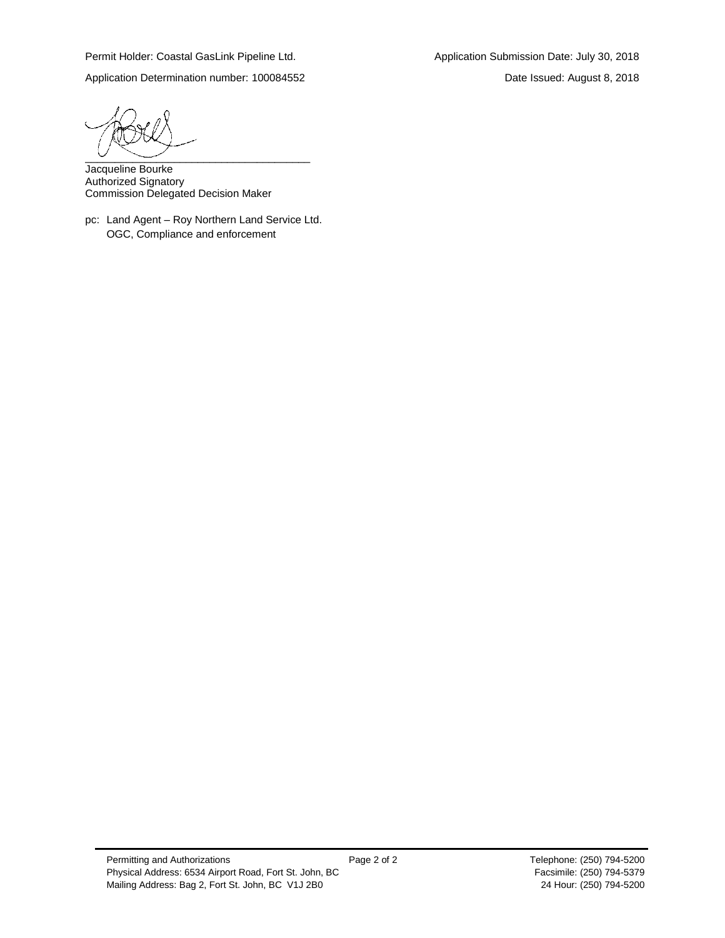Permit Holder: Coastal GasLink Pipeline Ltd. Application Submission Date: July 30, 2018

Application Determination number: 100084552 Date Issued: August 8, 2018

 $\overline{\phantom{a}}$   $\overline{\phantom{a}}$   $\overline{\phantom{a}}$   $\overline{\phantom{a}}$   $\overline{\phantom{a}}$   $\overline{\phantom{a}}$   $\overline{\phantom{a}}$   $\overline{\phantom{a}}$   $\overline{\phantom{a}}$   $\overline{\phantom{a}}$   $\overline{\phantom{a}}$   $\overline{\phantom{a}}$   $\overline{\phantom{a}}$   $\overline{\phantom{a}}$   $\overline{\phantom{a}}$   $\overline{\phantom{a}}$   $\overline{\phantom{a}}$   $\overline{\phantom{a}}$   $\overline{\$ 

Jacqueline Bourke Authorized Signatory Commission Delegated Decision Maker

pc: Land Agent – Roy Northern Land Service Ltd. OGC, Compliance and enforcement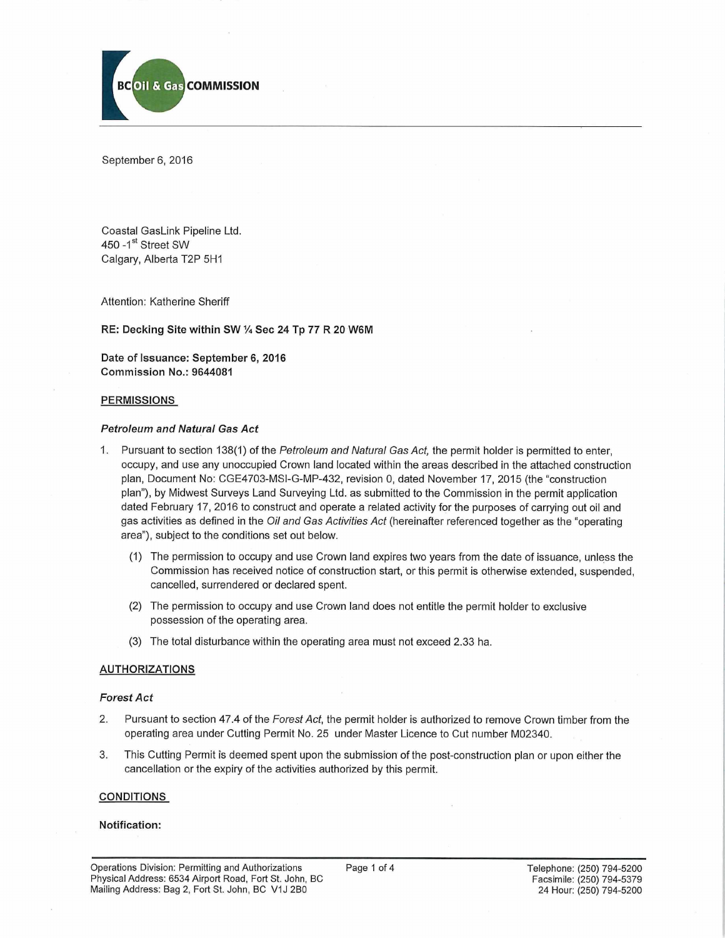

September 6, 2016

Coastal GasLink Pipeline Ltd. 450 - 1<sup>st</sup> Street SW Calgary, Alberta T2P 5H1

Attention: Katherine Sheriff

RE: Decking Site within SW % Sec 24 Tp 77 R 20 W6M

Date of Issuance: September 6, 2016 Commission No.: 9644081

#### PERMISSIONS

#### *Petroleum and Natural Gas Act*

- 1. Pursuant to section 138(1) of the *Petroleum and Natural Gas Act,* the permit holder is permitted to enter, occupy, and use any unoccupied Crown land located within the areas described in the attached construction plan, Document No: CGE4703-MSI-G-MP-432, revision 0, dated November 17, 2015 (the "construction plan"), by Midwest Surveys Land Surveying Ltd. as submitted to the Commission in the permit application dated February 17, 2016 to construct and operate a related activity for the purposes of carrying out oil and gas activities as defined in the *Oil and Gas Activities Act* (hereinafter referenced together as the "operating area"), subject to the conditions set out below.
	- (1) The permission to occupy and use Crown land expires two years from the date of issuance, unless the Commission has received notice of construction start, or this permit is otherwise extended, suspended, cancelled, surrendered or declared spent.
	- (2) The permission to occupy and use Crown land does not entitle the permit holder to exclusive possession of the operating area.
	- (3) The total disturbance within the operating area must not exceed 2.33 ha.

## AUTHORIZATIONS

#### *Forest Act*

- 2. Pursuant to section 47.4 of the *Forest Act,* the permit holder is authorized to remove Crown timber from the operating area under Cutting Permit No. 25 under Master Licence to Cut number M02340.
- 3. This Cutting Permit is deemed spent upon the submission of the post-construction plan or upon either the cancellation or the expiry of the activities authorized by this permit,

#### **CONDITIONS**

## Notification: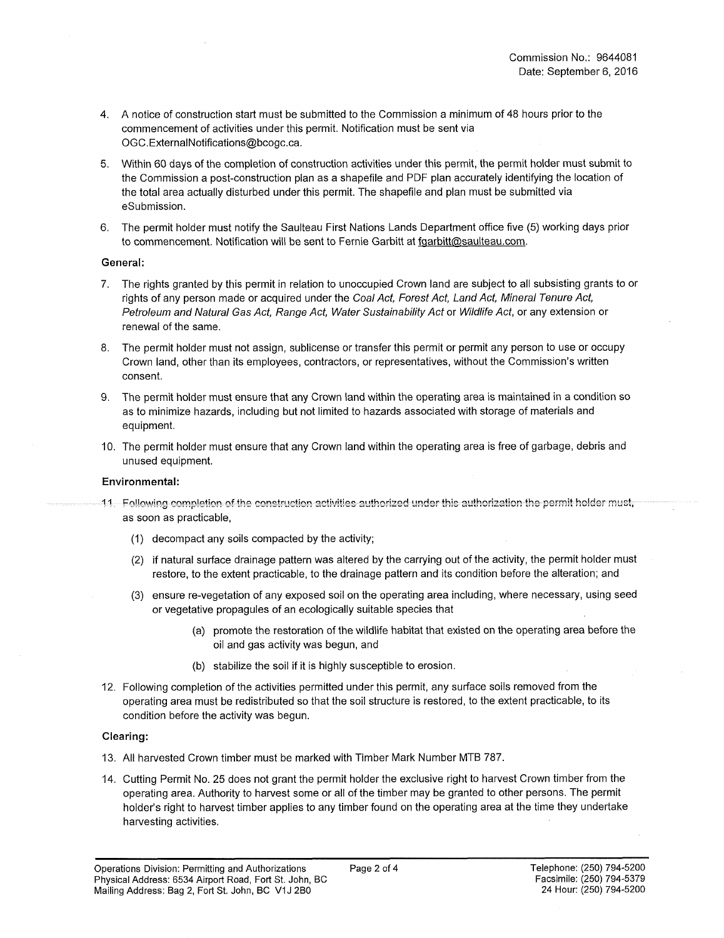- 4. A notice of construction start must be submitted to the Commission a minimum of 48 hours prior to the commencement of activities under this permit. Notification must be sent via [OGC.ExternalNotifications@bcogc.ca.](mailto:OGC.ExternalNotifications@bcogc.ca)
- 5. Within 60 days of the completion of construction activities under this permit, the permit holder must submit to the Commission a post-construction plan as a shapefile and PDF plan accurately identifying the location of the total area actually disturbed under this permit. The shapefile and plan must be submitted via eSubmission.
- 6. The permit holder must notify the Saulteau First Nations Lands Department office five (5) working days prior to commencement. Notification will be sent to Fernie Garbitt at [fqarbitt@saulteau.com](mailto:fqarbitt@saulteau.com).

## **General:**

- 7. The rights granted by this permit in relation to unoccupied Crown land are subject to all subsisting grants to or rights of any person made or acquired under the *Coal Act, Forest Act, Land Act, Mineral Tenure Act, Petroleum and Natural Gas Act, Range Act, Water Sustainability Act* or *Wildlife Act,* or any extension or renewal of the same.
- 8. The permit holder must not assign, sublicense or transfer this permit or permit any person to use or occupy Crown land, other than its employees, contractors, or representatives, without the Commission's written consent.
- 9. The permit holder must ensure that any Crown land within the operating area is maintained in a condition so as to minimize hazards, including but not limited to hazards associated with storage of materials and equipment.
- 10. The permit holder must ensure that any Crown land within the operating area is free of garbage, debris and unused equipment.

## **Environmental:**

- 11 Pollowing completion of the construction activities authorized under this authorization the permit holder must, as soon as practicable,
	- (1) decompact any soils compacted by the activity;
	- (2) if natural surface drainage pattern was altered by the carrying out of the activity, the permit holder must restore, to the extent practicable, to the drainage pattern and its condition before the alteration; and
	- (3) ensure re-vegetation of any exposed soil on the operating area including, where necessary, using seed or vegetative propagules of an ecologically suitable species that
		- (a) promote the restoration of the wildlife habitat that existed on the operating area before the oil and gas activity was begun, and
		- (b) stabilize the soil if it is highly susceptible to erosion.
- 12. Following completion of the activities permitted under this permit, any surface soils removed from the operating area must be redistributed so that the soil structure is restored, to the extent practicable, to its condition before the activity was begun.

## **Clearing:**

- 13. All harvested Crown timber must be marked with Timber Mark Number MTB 787.
- 14. Cutting Permit No. 25 does not grant the permit holder the exclusive right to harvest Crown timber from the operating area. Authority to harvest some or all of the timber may be granted to other persons. The permit holder's right to harvest timber applies to any timber found on the operating area at the time they undertake harvesting activities.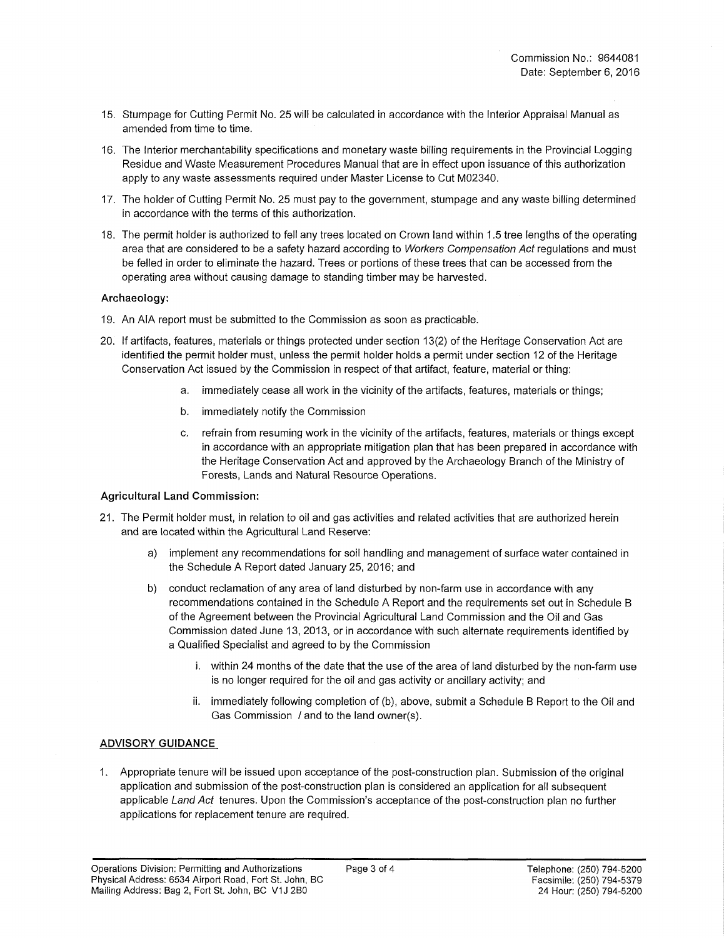- 15. Stumpage for Cutting Permit No. 25 will be calculated in accordance with the Interior Appraisal Manual as amended from time to time.
- 16. The Interior merchantability specifications and monetary waste billing requirements in the Provincial Logging Residue and Waste Measurement Procedures Manual that are in effect upon issuance of this authorization apply to any waste assessments required under Master License to Cut M02340.
- 17. The holder of Cutting Permit No. 25 must pay to the government, stumpage and any waste billing determined in accordance with the terms of this authorization.
- 18. The permit holder is authorized to fell any trees located on Crown land within 1.5 tree lengths of the operating area that are considered to be a safety hazard according to *Workers Compensation Act* regulations and must be felled in order to eliminate the hazard. Trees or portions of these trees that can be accessed from the operating area without causing damage to standing timber may be harvested.

## **Archaeology:**

- 19. An AIA report must be submitted to the Commission as soon as practicable.
- 20. If artifacts, features, materials or things protected under section 13(2) of the Heritage Conservation Act are identified the permit holder must, unless the permit holder holds a permit under section 12 of the Heritage Conservation Act issued by the Commission in respect of that artifact, feature, material or thing:
	- a. immediately cease all work in the vicinity of the artifacts, features, materials or things;
	- b. immediately notify the Commission
	- c. refrain from resuming work in the vicinity of the artifacts, features, materials or things except in accordance with an appropriate mitigation plan that has been prepared in accordance with the Heritage Conservation Act and approved by the Archaeology Branch of the Ministry of Forests, Lands and Natural Resource Operations.

## **Agricultural Land Commission:**

- 21. The Permit holder must, in relation to oil and gas activities and related activities that are authorized herein and are located within the Agricultural Land Reserve:
	- a) implement any recommendations for soil handling and management of surface water contained in the Schedule A Report dated January 25, 2016; and
	- b) conduct reclamation of any area of land disturbed by non-farm use in accordance with any recommendations contained in the Schedule A Report and the requirements set out in Schedule B of the Agreement between the Provincial Agricultural Land Commission and the Oil and Gas Commission dated June 13, 2013, or in accordance with such alternate requirements identified by a Qualified Specialist and agreed to by the Commission
		- i. within 24 months of the date that the use of the area of land disturbed by the non-farm use is no longer required for the oil and gas activity or ancillary activity; and
		- ii. immediately following completion of (b), above, submit a Schedule B Report to the Oil and Gas Commission / and to the land owner(s).

## **ADVISORY GUIDANCE**

1. Appropriate tenure will be issued upon acceptance of the post-construction plan. Submission of the original application and submission of the post-construction plan is considered an application for all subsequent applicable *Land Act* tenures. Upon the Commission's acceptance of the post-construction plan no further applications for replacement tenure are required.